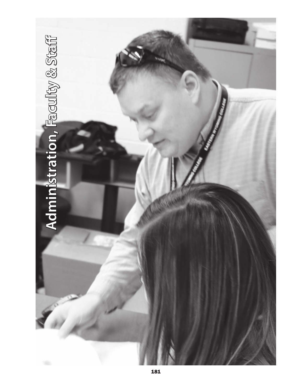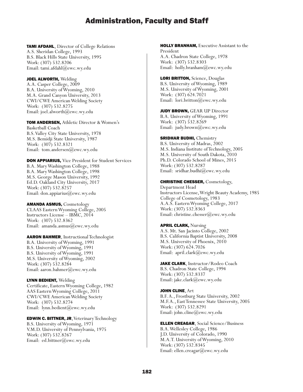TAMI AFDAHL, Director of College Relations A.S. Sheridan College, 1993 B.S. Black Hills State University, 1995 Work: (307) 532.8206 Email: tami.afdahl@ewc.wy.edu

JOEL ALWORTH, Welding A.A. Casper College, 2009 B.A. University of Wyoming, 2010 M.A. Grand Canyon University, 2013 CWI/CWE American Welding Society Work: (307) 532.8275 Email: joel.alworth@ewc.wy.edu

TOM ANDERSEN, Athletic Director & Women's Basketball Coach B.S. Valley City State University, 1978 M.S. Bemidji State University, 1987 Work: (307) 532.8321 Email: tom.andersen@ewc.wy.edu

DON APPIARIUS, Vice President for Student Services B.A. Mary Washington College, 1988 B.A. Mary Washington College, 1998 M.S. George Mason University, 1992 Ed.D. Oakland City University, 2017 Work: (307) 532.8257 Email: don.appiarius@ewc.wy.edu

AMANDA ASMUS, Cosmetology CLAAS Eastern Wyoming College, 2005 Instructors License – IBMC, 2014 Work: (307) 532.8362 Email: amanda.asmus@ewc.wy.edu

AARON BAHMER, Instructional Technologist B.A. University of Wyoming, 1991 B.S. University of Wyoming, 1991 B.S. University of Wyoming, 1991 M.S. University of Wyoming, 2002 Work: (307) 532.8284 Email: aaron.bahmer@ewc.wy.edu

LYNN BEDIENT, Welding Certificate, Eastern Wyoming College, 1982 AAS Eastern Wyoming College, 2011 CWI/CWE American Welding Society Work: (307) 532.8274 Email: lynn.bedient@ewc.wy.edu

EDWIN C. BITTNER, JR, Veterinary Technology B.S. University of Wyoming, 1971 V.M.D. University of Pennsylvania, 1975 Work: (307) 532.8267 Email: ed.bittner@ewc.wy.edu

HOLLY BRANHAM, Executive Assistant to the President A.A. Chadron State College, 1978 Work: (307) 532.8303 Email: holly.branham@ewc.wy.edu

LORI BRITTON, Science, Douglas B.S. University of Wyoming, 1989 M.S. University of Wyoming, 2001 Work: (307) 624.7021 Email: lori.britton@ewc.wy.edu

**JUDY BROWN, GEAR UP Director** B.A. University of Wyoming, 1991 Work: (307) 532.8269 Email: judy.brown@ewc.wy.edu

#### **SRIDHAR BUDHI, Chemistry**

B.S. University of Madras, 2002 M.S. Indiana Institute of Technology, 2005 M.S. University of South Dakota, 2010 Ph.D. Colorado School of Mines, 2015 Work: (307) 532.8287 Email: sridhar.budhi@ewc.wy.edu

#### CHRISTINE CHESSER, Cosmetology,

Department Head Instructors License, Wright Beauty Academy, 1985 College of Cosmetology, 1983 A.A.S. Eastern Wyoming College, 2017 Work: (307) 532.8363 Email: christine.chesser@ewc.wy.edu

APRIL CLARK, Nursing

A.S. Mt. San Jacinto College, 2002 B.S. California Baptist University, 2008 M.S. University of Phoenix, 2010 Work: (307) 624.7026 Email: april.clark@ewc.wy.edu

JAKE CLARK, Instructor/Rodeo Coach B.S. Chadron State College, 1994 Work: (307) 532.8337 Email: jake.clark@ewc.wy.edu

JOHN CLINE, Art B.F. A., Frostburg State University, 2002 M.F.A., East Tennessee State University, 2005 Work: (307) 532.8291 Email: john.cline@ewc.wy.edu

ELLEN CREAGAR, Social Science/Business B.A. Wellesley College, 1986 J.D. University of Colorado, 1990 M.A.T. University of Wyoming, 2010 Work: (307) 532.8345 Email: ellen.creagar@ewc.wy.edu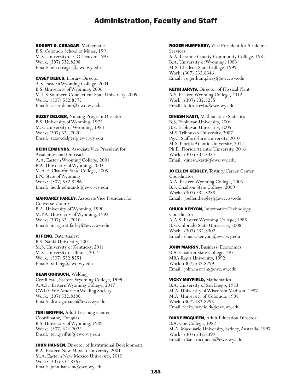## ROBERT D. CREAGAR, Mathematics

B.S. Colorado School of Mines, 1991 M.S. University of CO-Denver, 1995 Work: (307) 532.8298 Email: bob.creagar@ewc.wy.edu

CASEY DEBUS, Library Director A.S. Eastern Wyoming College, 2004 B.S. University of Wyoming, 2006 M.L.S.Southern Connecticut State University, 2009 Work: (307) 532.8375 Email: casey.debus@ewc.wy.edu

**SUZEY DELGER, Nursing Program Director** B.S. University of Wyoming, 1975 M.S. University of Wyoming, 1983 Work: (307) 624.7020 Email: suzey.delger@ewc.wy.edu

HEIDI EDMUNDS, Associate Vice President for Academics and Outreach A.A. Eastern Wyoming College, 2001 B.A. University of Wyoming, 2003 M.A.E. Chadron State College, 2005 LPC State of Wyoming Work: (307) 532.8296 Email: heidi.edmunds@ewc.wy.edu

# MARGARET FARLEY, Associate Vice President for

Converse County B.A. University of Wyoming, 1990 M.P.A. University of Wyoming, 1992 Work: (307) 624.7010 Email: margaret.farley@ewc.wy.edu

## XI FENG, Data Analyst

B.S. Nanki University, 2004 M.S. University of Kentucky, 2011 M.S. University of Illinois, 2014 Work: (307) 532.8251 Email: xi.feng@ewc.wy.edu

DEAN GORSUCH, Welding

Certificate, Eastern Wyoming College, 1999 A.A.S., Eastern Wyoming College, 2017 CWI/CWE American Welding Society Work: (307) 532.8380 Email: dean.gorsuch@ewc.wy.edu

TERI GRIFFIN, Adult Learning Center Coordinator, Douglas B.S. University of Wyoming, 1989 Work: (307) 624.7025 Email: teri.griffin@ewc.wy.edu

JOHN HANSEN, Director of Institutional Development B.A. Eastern New Mexico University, 2001 M.A. Eastern New Mexico University, 2010 Work: (307) 532.8367 Email: john.hansen@ewc.wy.edu

## ROGER HUMPHREY, Vice President for Academic Services

A.A. Laramie County Community College, 1981 B.A. University of Wyoming, 1983 M.S. Chadron State College, 1999 Work: (307) 532.8346 Email: roger.humphrey@ewc.wy.edu

KEITH JARVIS, Director of Physical Plant A.S. Eastern Wyoming College, 2012 Work: (307) 532.8255 Email: keith.jarvis@ewc.wy.edu

DINESH KASTI, Mathematics/Statistics B.S. Tribhuvan University, 2004 B.S. Tribhuvan University, 2005 M.S. Tribhuvan University, 2007 Pg.C. Staffordshire University, 2010 M.S. Florida Atlantic University, 2012 Ph.D. Florida Atlantic University, 2016 Work: (307) 532.8387 Email: dinesh.kasti@ewc.wy.edu

JO ELLEN KEIGLEY, Testing/Career Center Coordinator A.A. Eastern Wyoming College, 2006 B.S. Chadron State College, 2009 Work: (307) 532.8288 Email: joellen.keigley@ewc.wy.edu

CHUCK KENYON, Information Technology Coordinator A.A.S. Eastern Wyoming College, 1985 B.S. Colorado State University, 2008 Work: (307) 532.8302 Email: chuck.kenyon@ewc.wy.edu

JOHN MARRIN, Business/Economics B.A. Chadron State College, 1972 MBA Regis University, 1992 Work: (307) 532.8299 Email: john.marrin@ewc.wy.edu

VICKY MAYFIELD, Mathematics B.A. University of San Diego, 1983 M.A. University of Wisconsin Madison, 1987 M.A. University of Colorado, 1998 Work: (307) 532.8295 Email: vicky.mayfield@ewc.wy.edu

DIANE MCQUEEN, Adult Education Director B.A. Coe College, 1982 M.A. Macquarie University, Sydney, Australia, 1997 Work: (307) 532.8399 Email: diane.mcqueen@ewc.wy.edu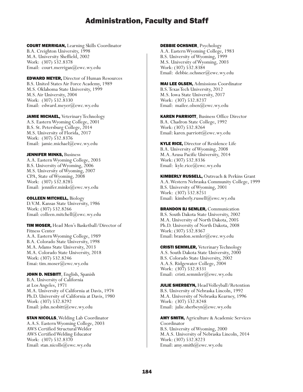COURT MERRIGAN, Learning Skills Coordinator B.A. Creighton University, 1998 M.A. University Sheffield, 2002 Work: (307) 532.8378 Email: court.merrigan@ewc.wy.edu

EDWARD MEYER, Director of Human Resources B.S. United States Air Force Academy, 1989 M.S. Oklahoma State University, 1999 M.S. Air University, 2004 Work: (307) 532.8330 Email: edward.meyer@ewc.wy.edu

JAMIE MICHAEL, Veterinary Technology A.S. Eastern Wyoming College, 2001 B.S. St. Petersburg College, 2014 M.S. University of Florida, 2017 Work: (307) 532.8376 Email: jamie.michael@ewc.wy.edu

JENNIFER MINKS, Business A.A. Eastern Wyoming College, 2003 B.S. University of Wyoming, 2006 M.S. University of Wyoming, 2007 CPA, State of Wyoming, 2008 Work: (307) 532.8285 Email: jennifer.minks@ewc.wy.edu

COLLEEN MITCHELL, Biology D.V.M. Kansas State University, 1986 Work: (307) 532.8266 Email: colleen.mitchell@ewc.wy.edu

TIM MOSER, Head Men's Basketball/Director of Fitness Center A.A. Eastern Wyoming College, 1989 B.A. Colorado State University, 1998 M.A. Adams State University, 2013 M.A. Colorado State University, 2018 Work: (307) 532.8246 Emai: tim.moser@ewc.wy.edu

JOHN D. NESBITT, English, Spanish B.A. University of California at Los Angeles, 1971 M.A. University of California at Davis, 1974 Ph.D. University of California at Davis, 1980 Work: (307) 532.8292 Email: john.nesbitt@ewc.wy.edu

**STAN NICOLLS, Welding Lab Coordinator** A.A.S. Eastern Wyoming College, 2003 AWS Certified Structural Welder AWS Certified Welding Educator Work: (307) 532.8370 Email: stan.nicolls@ewc.wy.edu

DEBBIE OCHSNER, Psychology

A.A. Eastern Wyoming College, 1983 B.S. University of Wyoming, 1999 M.S. University of Wyoming, 2003 Work: (307) 532.8384 Email: debbie.ochsner@ewc.wy.edu

MAI LEE OLSEN, Admissions Coordinator B.S. Texas Tech University, 2012 M.S. Iowa State University, 2017 Work: (307) 532.8237 Email: mailee.olsen@ewc.wy.edu

KAREN PARRIOTT, Business Office Director B.A. Chadron State College, 1992 Work: (307) 532.8264 Email: karen.parriott@ewc.wy.edu

**KYLE RICE, Director of Residence Life** B.A. University of Wyoming, 2008 M.A. Azusa Pacific University, 2014 Work: (307) 532.8336 Email: kyle.rice@ewc.wy.edu

KIMBERLY RUSSELL, Outreach & Perkins Grant A.A. Western Nebraska Community College, 1999 B.S. University of Wyoming, 2001 Work: (307) 532.8251 Email: kimberly.russell@ewc.wy.edu

**BRANDON BJ SEMLER, Communication** B.S. South Dakota State University, 2002 M.A. University of North Dakota, 2005 Ph.D. University of North Dakota, 2008 Work: (307) 532.8367 Email: brandon.semler@ewc.wy.edu

CRISTI SEMMLER, Veterinary Technology A.S. South Dakota State University, 2000 B.S. Colorado State University, 2002 A.A.S. Ridgewater College, 2004 Work: (307) 532.8331 Email: cristi.semmler@ewc.wy.edu

JULIE SHERBEYN, Head Volleyball/Retention B.S. University of Nebraska Lincoln, 1992 M.A. University of Nebraska Kearney, 1996 Work: (307) 532.8248 Email: julie.sherbeyn@ewc.wy.edu

**AMY SMITH, Agriculture & Academic Services** Coordinator B.S. University of Wyoming, 2000 M.A.S. University of Nebraska Lincoln, 2014 Work: (307) 532.8223 Email: amy.smith@ewc.wy.edu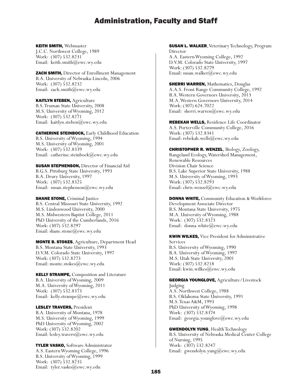#### KEITH SMITH, Webmaster

J.C.C. Northwest College, 1989 Work: (307) 532.8231 Email: keith.smith@ewc.wy.edu

ZACH SMITH, Director of Enrollment Management B.A. University of Nebraska-Lincoln, 2006 Work: (307) 532.8232 Email: zach.smith@ewc.wy.edu

KAITLYN STEBEN, Agriculture

B.S. Truman State University, 2008 M.S. University of Wyoming, 2012 Work: (307) 532.8271 Email: kaitlyn.steben@ewc.wy.edu

CATHERINE STEINBOCK, Early Childhood Education B.S. University of Wyoming, 1994 M.S. University of Wyoming, 2001 Work: (307) 532.8339 Email: catherine.steinbock@ewc.wy.edu

**SUSAN STEPHENSON, Director of Financial Aid** B.G.S. Pittsburg State University, 1993 B.A. Drury University, 1997 Work: (307) 532.8325 Email: susan.stephenson@ewc.wy.edu

**SHANE STONE, Criminal Justice** B.S. Central Missouri State University, 1992 M.S. Lindenwood University, 2000 M.S. Midwestern Baptist College, 2011 PhD University of the Cumberlands, 2016 Work: (307) 532.8297 Email: shane.stone@ewc.wy.edu

MONTE B. STOKES, Agriculture, Department Head B.S. Montana State University, 1993 D.V.M. Colorado State University, 1997 Work: (307) 532.8273 Email: monte.stokes@ewc.wy.edu

KELLY STRAMPE, Composition and Literature B.A. University of Wyoming, 2009 M.A. University of Wyoming, 2011 Work: (307) 532.8373 Email: kelly.strampe@ewc.wy.edu

LESLEY TRAVERS, President B.A. University of Montana, 1978 M.S. University of Wyoming, 1999 PhD University of Wyoming, 2002 Work: (307) 532.8202 Email: lesley.travers@ewc.wy.edu

TYLER VASKO, Software Administrator A.S. Eastern Wyoming College, 1996 B.S. University of Wyoming, 1999 Work: (307) 532.8235 Email: tyler.vasko@ewc.wy.edu

SUSAN L. WALKER, Veterinary Technology, Program Director A.A. Eastern Wyoming College, 1992 D.V.M. Colorado State University, 1997 Work: (307) 532.8279 Email: susan.walker@ewc.wy.edu

**SHERRI WARREN, Mathematics, Douglas** A.A.S. Front Range Community College, 1992 B.A. Western Governors University, 2013 M.A. Western Governors University, 2014 Work: (307) 624.7022 Email: sherri.warren@ewc.wy.edu

REBEKAH WELLS, Residence Life Coordinator A.S. Porterville Community College, 2016 Work: (307) 532.8341 Email: rebekah.wells@ewc.wy.edu

CHRISTOPHER R. WENZEL, Biology, Zoology, Rangeland Ecology, Watershed Management, Renewable Resources Division Chair Science B.S. Lake Superior State University, 1988 M.S. University of Wyoming, 1993 Work: (307) 532.8293 Email: chris.wenzel@ewc.wy.edu

DONNA WHITE, Community Education & Workforce Development Associate Director B.S. Montana State University, 1975 M.A. University of Wyoming, 1988 Work: (307) 532.8323 Email: donna.white@ewc.wy.edu

KWIN WILKES, Vice President for Administrative Services B.S. University of Wyoming, 1990 B.A. University of Wyoming, 1997 M.S. Utah State University, 2001

Work: (307) 532.8218 Email: kwin.wilkes@ewc.wy.edu

GEORGIA YOUNGLOVE, Agriculture/Livestock Judging A.S. Northwest College, 1988 B.S. Oklahoma State University, 1991 M.S. Texas A&M, 1993 PhD University of Wyoming, 1998 Work: (307) 532.8374 Email: georgia.younglove@ewc.wy.edu

GWENDOLYN YUNG, Health Technology B.S. University of Nebraska Medical Center College of Nursing, 1995 Work: (307) 532.8247 Email: gwendolyn.yung@ewc.wy.edu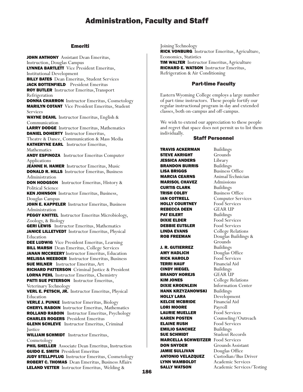## Emeriti

JOHN ANTHONY Assistant Dean Emeritus, Instruction, Douglas Campus LYNNEA BARTLETT Vice President Emeritus, Institutional Development **BILLY BATES** Dean Emeritus, Student Services JACK BOTTENFIELD President Emeritus ROY BUTLER Instructor Emeritus,Transport Refrigeration DONNA CHARRON Instructor Emeritus, Cosmetology MARILYN COTANT Vice President Emeritus, Student Services WAYNE DEAHL Instructor Emeritus, English & Communication LARRY DODGE Instructor Emeritus, Mathematics DANIEL DOHERTY Instructor Emeritus, Theatre & Dance, Communication & Mass Media KATHERYNE EARL Instructor Emeritus, Mathematics ANDY ESPINOZA Instructor Emeritus Computer Applications JEANNE H. HAMER Instructor Emeritus, Music DONALD R. HILLS Instructor Emeritus, Business Administration **DON HODGSON** Instructor Emeritus, History & Political Science KEN JOHNSON Instructor Emeritus, Business, Douglas Campus JOHN E. KAPPELER Instructor Emeritus, Business Administration **PEGGY KNITTEL** Instructor Emeritus Microbiology, Zoology, & Biology **GERI LEWIS** Instructor Emeritus, Mathematics JANICE LILLETVEDT Instructor Emeritus, Physical Education DEE LUDWIG Vice President Emeritus, Learning **BILL MARSH** Dean Emeritus, College Services JANAN MCCREERY Instructor Emeritus, Education MELISSA MEEBOER Instructor Emeritus, Business SUE MILNER Instructor Emeritus, Art RICHARD PATTERSON Criminal Justice & President LORNA PEHL Instructor Emeritus, Chemistry PATTI SUE PETERSON Instructor Emeritus, Veterinary Technology VERL E. PETSCH, JR. Instructor Emeritus, Physical Education VERLE J. PUNKE Instructor Emeritus, Biology CHERYL RABOIN Instructor Emeritus, Mathematics ROLLAND RABOIN Instructor Emeritus, Psychology CHARLES ROGERS President Emeritus **GLENN SCHLEVE** Instructor Emeritus, Criminal **Justice** WILLIAM SCHMIDT Instructor Emeritus, Cosmetology **PHIL SHELLER** Associate Dean Emeritus, Instruction GUIDO E. SMITH President Emeritus

JUDY STELLPFLUG Instructor Emeritus, Cosmetology ROBERT C. THOMAS Dean Emeritus, Business Affairs LELAND VETTER Instructor Emeritus, Welding &

Joining Technology RICK VONBURG Instructor Emeritus, Agriculture, Economics, Statistics **TIM WALTER** Instructor Emeritus, Agriculture RICHARD E. WATSON Instructor Emeritus, Refrigeration & Air Conditioning

## Part-time Faculty

Eastern Wyoming College employs a large number of part-time instructors. These people fortify our regular instructional program in day and extended classes, both on-campus and off-campus.

We wish to extend our appreciation to these people and regret that space does not permit us to list them individually.

## Staff Personnel

**TRAVIS ACKERMAN** Buildings<br>**STEVE AKRIGHT** Grounds **STEVE AKRIGHT** JESSICA ANDERS Library **BRANDON BURRIS** Buildings **LISA BRIGGS** Business Office **MARCIA CEARNS** Animal Technician MARISOL CHAVEZ Admissions **CURTIS CLARK** Buildings **TRISH COLBY** Business Office **IAN COTTRELL Computer Services**<br>**HOLLY COURTNEY** Food Services **HOLLY COURTNEY** REBECCA DEEN GEAR UP **PAT EILERT** Buildings<br>**DIXIE ELDER** Food Serv **DEBBIE EUTSLER** Food Services **LINDA EVANS** College Relations<br> **ROB FREEMAN** Douglas Buildings **J. R. GUTIERREZ** Buildings<br>**AMY HADLICH** Douglas ( RICK HAROLD Food Services **TERRI HAUF** Financial Aid<br> **CINDY HIEGEL** Buildings **CINDY HIEGEL** BRANDY HOREJS **GEAR UP** KIM JONES College Relations **DIXIE KROENLEIN** Information Center HANK KRZYZANOWSKI Buildings **HOLLY LARA** Development<br>**KELCIE MCBRIDE** Financial Aid **KELCIE MCBRIDE** LORI MOORE Payroll LAURIE MUELLER Food Services KAREN POSTEN Counseling/Outreach **ELAINE RUSH** Food Services **EMILIO SANCHEZ** Buildings **SUE SCHMIDT** Student Records MARCELLA SCHWEITZER Food Services **DON SNYDER** Grounds Assistant JAMIE SULLIVAN Douglas Office **ANTONIO VELAZQUEZ** Custodian/Bus Driver LYNN WAMBOLDT Academic Services

Food Services Douglas Buildings & Grounds Douglas Office **SALLY WATSON** Academic Services/Testing